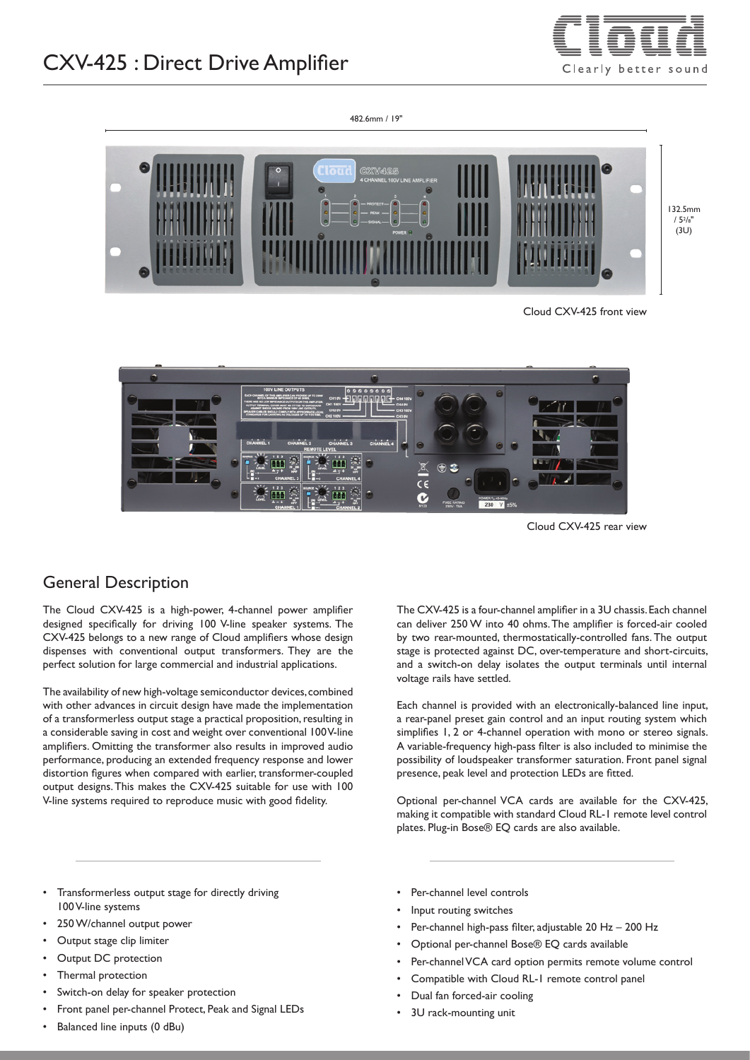# CXV-425 : Direct Drive Amplifier



482.6mm / 19" 132.5mm  $/ 5<sup>2</sup>/8"$ (3U)

Cloud CXV-425 front view



Cloud CXV-425 rear view

### General Description

The Cloud CXV-425 is a high-power, 4-channel power amplifier designed specifically for driving 100 V-line speaker systems. The CXV-425 belongs to a new range of Cloud amplifiers whose design dispenses with conventional output transformers. They are the perfect solution for large commercial and industrial applications.

The availability of new high-voltage semiconductor devices, combined with other advances in circuit design have made the implementation of a transformerless output stage a practical proposition, resulting in a considerable saving in cost and weight over conventional 100 V-line amplifiers. Omitting the transformer also results in improved audio performance, producing an extended frequency response and lower distortion figures when compared with earlier, transformer-coupled output designs. This makes the CXV-425 suitable for use with 100 V-line systems required to reproduce music with good fidelity.

The CXV-425 is a four-channel amplifier in a 3U chassis. Each channel can deliver 250 W into 40 ohms. The amplifier is forced-air cooled by two rear-mounted, thermostatically-controlled fans. The output stage is protected against DC, over-temperature and short-circuits, and a switch-on delay isolates the output terminals until internal voltage rails have settled.

Each channel is provided with an electronically-balanced line input, a rear-panel preset gain control and an input routing system which simplifies 1, 2 or 4-channel operation with mono or stereo signals. A variable-frequency high-pass filter is also included to minimise the possibility of loudspeaker transformer saturation. Front panel signal presence, peak level and protection LEDs are fitted.

Optional per-channel VCA cards are available for the CXV-425, making it compatible with standard Cloud RL-1 remote level control plates. Plug-in Bose® EQ cards are also available.

- Transformerless output stage for directly driving 100 V-line systems
- 250 W/channel output power
- Output stage clip limiter
- Output DC protection
- Thermal protection
- Switch-on delay for speaker protection
- Front panel per-channel Protect, Peak and Signal LEDs
- Balanced line inputs (0 dBu)
- Per-channel level controls
- Input routing switches
- Per-channel high-pass filter, adjustable 20 Hz 200 Hz
- Optional per-channel Bose® EQ cards available
- Per-channel VCA card option permits remote volume control
- Compatible with Cloud RL-1 remote control panel
- Dual fan forced-air cooling
- 3U rack-mounting unit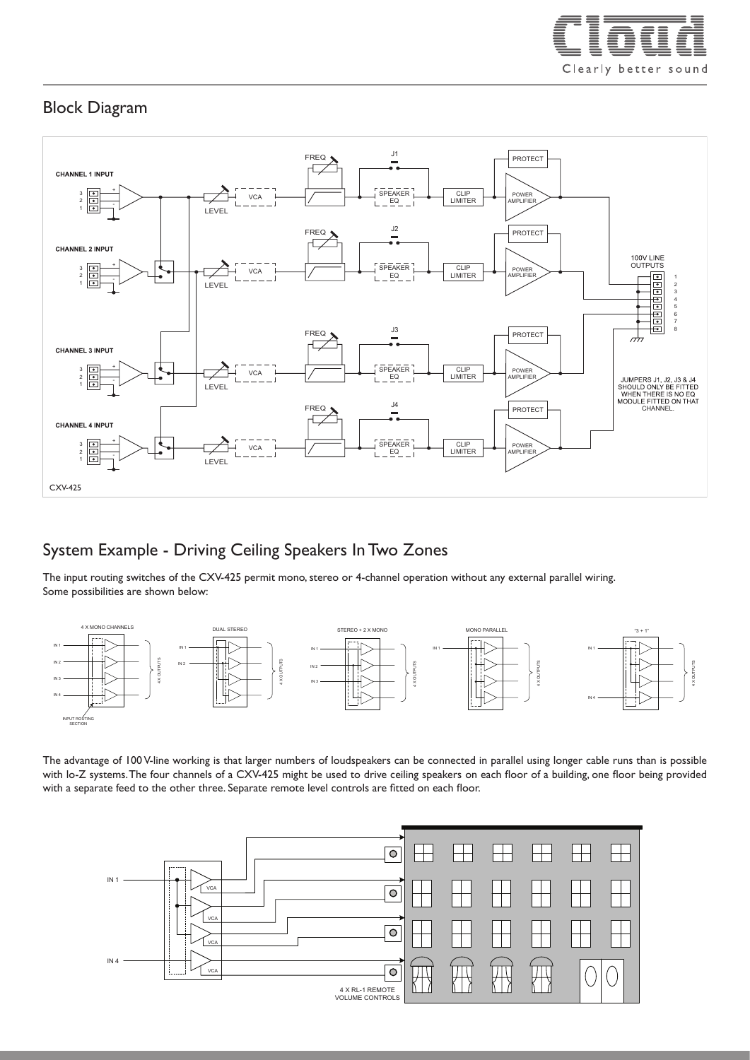

# Block Diagram



## System Example - Driving Ceiling Speakers In Two Zones

The input routing switches of the CXV-425 permit mono, stereo or 4-channel operation without any external parallel wiring. Some possibilities are shown below:



The advantage of 100 V-line working is that larger numbers of loudspeakers can be connected in parallel using longer cable runs than is possible with lo-Z systems. The four channels of a CXV-425 might be used to drive ceiling speakers on each floor of a building, one floor being provided with a separate feed to the other three. Separate remote level controls are fitted on each floor.